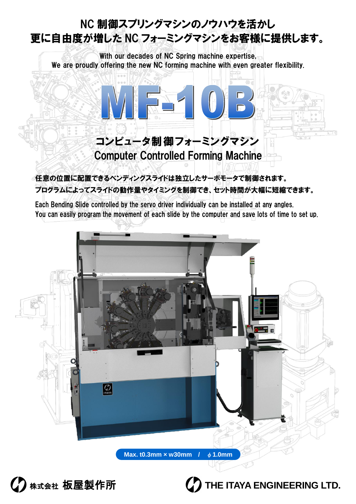## NC 制御スプリングマシンのノウハウを活かし 更に自由度が増した NC フォーミングマシンをお客様に提供します。

With our decades of NC Spring machine expertise. We are proudly offering the new NC forming machine with even greater flexibility.



任意の位置に配置できるベンディングスライドは独立したサーボモータで制御されます。 プログラムによってスライドの動作量やタイミングを制御でき、セット時間が大幅に短縮できます。

Each Bending Slide controlled by the servo driver individually can be installed at any angles. You can easily program the movement of each slide by the computer and save lots of time to set up.